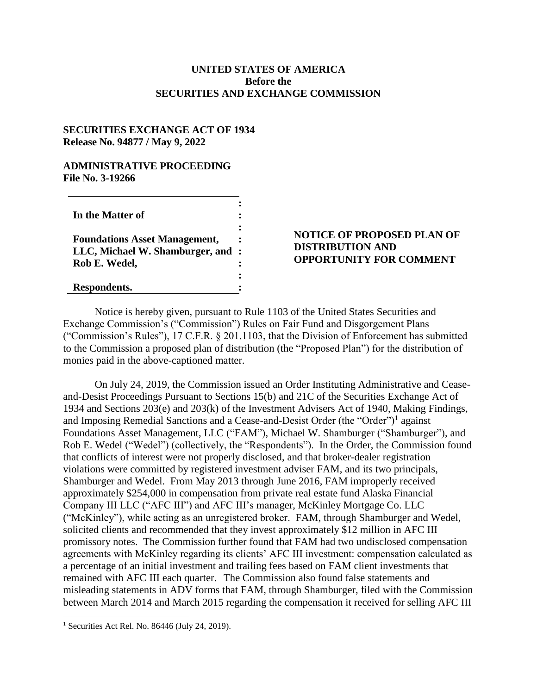### **UNITED STATES OF AMERICA Before the SECURITIES AND EXCHANGE COMMISSION**

### **SECURITIES EXCHANGE ACT OF 1934 Release No. 94877 / May 9, 2022**

### **ADMINISTRATIVE PROCEEDING File No. 3-19266**

| In the Matter of                     |                |
|--------------------------------------|----------------|
|                                      |                |
| <b>Foundations Asset Management,</b> |                |
| LLC, Michael W. Shamburger, and      | $\ddot{\cdot}$ |
| Rob E. Wedel,                        |                |
|                                      |                |
| Respondents.                         |                |

# **NOTICE OF PROPOSED PLAN OF DISTRIBUTION AND OPPORTUNITY FOR COMMENT**

Notice is hereby given, pursuant to Rule 1103 of the United States Securities and Exchange Commission's ("Commission") Rules on Fair Fund and Disgorgement Plans ("Commission's Rules"), 17 C.F.R. § 201.1103, that the Division of Enforcement has submitted to the Commission a proposed plan of distribution (the "Proposed Plan") for the distribution of monies paid in the above-captioned matter.

On July 24, 2019, the Commission issued an Order Instituting Administrative and Ceaseand-Desist Proceedings Pursuant to Sections 15(b) and 21C of the Securities Exchange Act of 1934 and Sections 203(e) and 203(k) of the Investment Advisers Act of 1940, Making Findings, and Imposing Remedial Sanctions and a Cease-and-Desist Order (the "Order")<sup>1</sup> against Foundations Asset Management, LLC ("FAM"), Michael W. Shamburger ("Shamburger"), and Rob E. Wedel ("Wedel") (collectively, the "Respondents"). In the Order, the Commission found that conflicts of interest were not properly disclosed, and that broker-dealer registration violations were committed by registered investment adviser FAM, and its two principals, Shamburger and Wedel. From May 2013 through June 2016, FAM improperly received approximately \$254,000 in compensation from private real estate fund Alaska Financial Company III LLC ("AFC III") and AFC III's manager, McKinley Mortgage Co. LLC ("McKinley"), while acting as an unregistered broker. FAM, through Shamburger and Wedel, solicited clients and recommended that they invest approximately \$12 million in AFC III promissory notes. The Commission further found that FAM had two undisclosed compensation agreements with McKinley regarding its clients' AFC III investment: compensation calculated as a percentage of an initial investment and trailing fees based on FAM client investments that remained with AFC III each quarter. The Commission also found false statements and misleading statements in ADV forms that FAM, through Shamburger, filed with the Commission between March 2014 and March 2015 regarding the compensation it received for selling AFC III

 $\overline{a}$ 

<sup>&</sup>lt;sup>1</sup> Securities Act Rel. No. 86446 (July 24, 2019).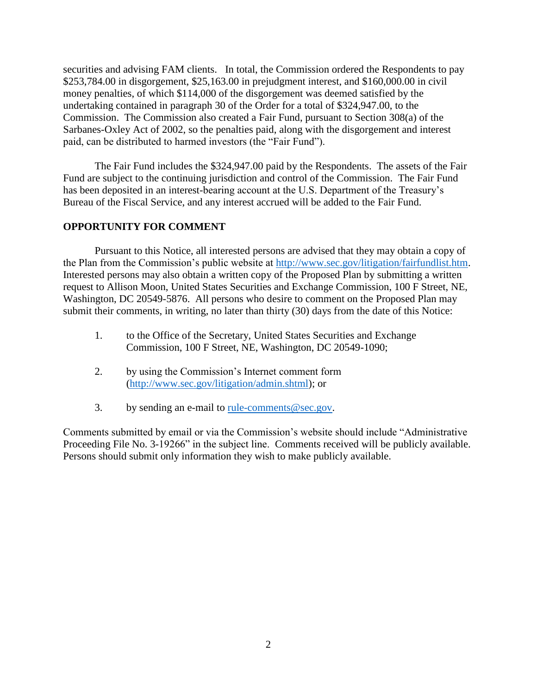securities and advising FAM clients. In total, the Commission ordered the Respondents to pay \$253,784.00 in disgorgement, \$25,163.00 in prejudgment interest, and \$160,000.00 in civil money penalties, of which \$114,000 of the disgorgement was deemed satisfied by the undertaking contained in paragraph 30 of the Order for a total of \$324,947.00, to the Commission. The Commission also created a Fair Fund, pursuant to Section 308(a) of the Sarbanes-Oxley Act of 2002, so the penalties paid, along with the disgorgement and interest paid, can be distributed to harmed investors (the "Fair Fund").

The Fair Fund includes the \$324,947.00 paid by the Respondents. The assets of the Fair Fund are subject to the continuing jurisdiction and control of the Commission. The Fair Fund has been deposited in an interest-bearing account at the U.S. Department of the Treasury's Bureau of the Fiscal Service, and any interest accrued will be added to the Fair Fund.

# **OPPORTUNITY FOR COMMENT**

Pursuant to this Notice, all interested persons are advised that they may obtain a copy of the Plan from the Commission's public website at [http://www.sec.gov/litigation/fairfundlist.htm.](http://www.sec.gov/litigation/fairfundlist.htm) Interested persons may also obtain a written copy of the Proposed Plan by submitting a written request to Allison Moon, United States Securities and Exchange Commission, 100 F Street, NE, Washington, DC 20549-5876. All persons who desire to comment on the Proposed Plan may submit their comments, in writing, no later than thirty (30) days from the date of this Notice:

- 1. to the Office of the Secretary, United States Securities and Exchange Commission, 100 F Street, NE, Washington, DC 20549-1090;
- 2. by using the Commission's Internet comment form [\(http://www.sec.gov/litigation/admin.shtml\)](http://www.sec.gov/litigation/admin.shtml); or
- 3. by sending an e-mail to <u>rule-comments@sec.gov</u>.

Comments submitted by email or via the Commission's website should include "Administrative Proceeding File No. 3-19266" in the subject line. Comments received will be publicly available. Persons should submit only information they wish to make publicly available.